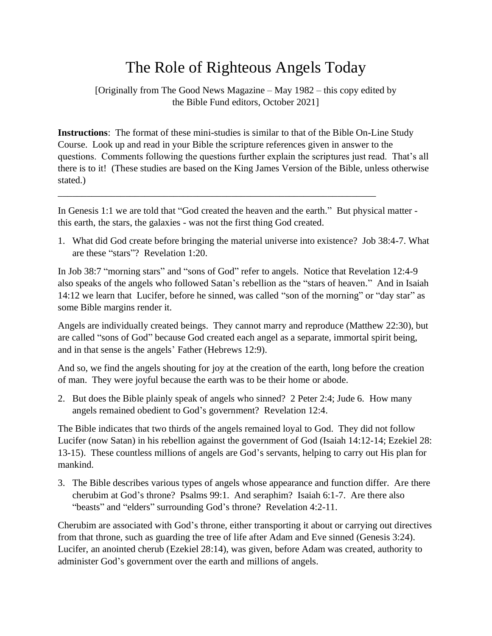## The Role of Righteous Angels Today

[Originally from The Good News Magazine – May 1982 – this copy edited by the Bible Fund editors, October 2021]

**Instructions**: The format of these mini-studies is similar to that of the Bible On-Line Study Course. Look up and read in your Bible the scripture references given in answer to the questions. Comments following the questions further explain the scriptures just read. That's all there is to it! (These studies are based on the King James Version of the Bible, unless otherwise stated.)

In Genesis 1:1 we are told that "God created the heaven and the earth." But physical matter this earth, the stars, the galaxies - was not the first thing God created.

\_\_\_\_\_\_\_\_\_\_\_\_\_\_\_\_\_\_\_\_\_\_\_\_\_\_\_\_\_\_\_\_\_\_\_\_\_\_\_\_\_\_\_\_\_\_\_\_\_\_\_\_\_\_\_\_\_\_\_\_\_\_\_\_\_\_

1. What did God create before bringing the material universe into existence? Job 38:4-7. What are these "stars"? Revelation 1:20.

In Job 38:7 "morning stars" and "sons of God" refer to angels. Notice that Revelation 12:4-9 also speaks of the angels who followed Satan's rebellion as the "stars of heaven." And in Isaiah 14:12 we learn that Lucifer, before he sinned, was called "son of the morning" or "day star" as some Bible margins render it.

Angels are individually created beings. They cannot marry and reproduce (Matthew 22:30), but are called "sons of God" because God created each angel as a separate, immortal spirit being, and in that sense is the angels' Father (Hebrews 12:9).

And so, we find the angels shouting for joy at the creation of the earth, long before the creation of man. They were joyful because the earth was to be their home or abode.

2. But does the Bible plainly speak of angels who sinned? 2 Peter 2:4; Jude 6. How many angels remained obedient to God's government? Revelation 12:4.

The Bible indicates that two thirds of the angels remained loyal to God. They did not follow Lucifer (now Satan) in his rebellion against the government of God (Isaiah 14:12-14; Ezekiel 28: 13-15). These countless millions of angels are God's servants, helping to carry out His plan for mankind.

3. The Bible describes various types of angels whose appearance and function differ. Are there cherubim at God's throne? Psalms 99:1. And seraphim? Isaiah 6:1-7. Are there also "beasts" and "elders" surrounding God's throne? Revelation 4:2-11.

Cherubim are associated with God's throne, either transporting it about or carrying out directives from that throne, such as guarding the tree of life after Adam and Eve sinned (Genesis 3:24). Lucifer, an anointed cherub (Ezekiel 28:14), was given, before Adam was created, authority to administer God's government over the earth and millions of angels.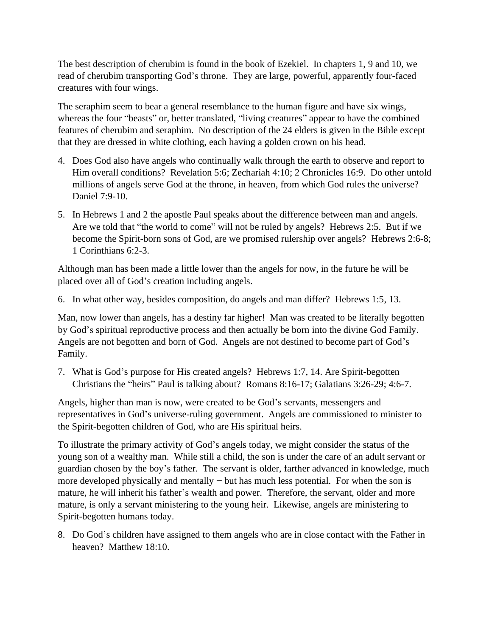The best description of cherubim is found in the book of Ezekiel. In chapters 1, 9 and 10, we read of cherubim transporting God's throne. They are large, powerful, apparently four-faced creatures with four wings.

The seraphim seem to bear a general resemblance to the human figure and have six wings, whereas the four "beasts" or, better translated, "living creatures" appear to have the combined features of cherubim and seraphim. No description of the 24 elders is given in the Bible except that they are dressed in white clothing, each having a golden crown on his head.

- 4. Does God also have angels who continually walk through the earth to observe and report to Him overall conditions? Revelation 5:6; Zechariah 4:10; 2 Chronicles 16:9. Do other untold millions of angels serve God at the throne, in heaven, from which God rules the universe? Daniel 7:9-10.
- 5. In Hebrews 1 and 2 the apostle Paul speaks about the difference between man and angels. Are we told that "the world to come" will not be ruled by angels? Hebrews 2:5. But if we become the Spirit-born sons of God, are we promised rulership over angels? Hebrews 2:6-8; 1 Corinthians 6:2-3.

Although man has been made a little lower than the angels for now, in the future he will be placed over all of God's creation including angels.

6. In what other way, besides composition, do angels and man differ? Hebrews 1:5, 13.

Man, now lower than angels, has a destiny far higher! Man was created to be literally begotten by God's spiritual reproductive process and then actually be born into the divine God Family. Angels are not begotten and born of God. Angels are not destined to become part of God's Family.

7. What is God's purpose for His created angels? Hebrews 1:7, 14. Are Spirit-begotten Christians the "heirs" Paul is talking about? Romans 8:16-17; Galatians 3:26-29; 4:6-7.

Angels, higher than man is now, were created to be God's servants, messengers and representatives in God's universe-ruling government. Angels are commissioned to minister to the Spirit-begotten children of God, who are His spiritual heirs.

To illustrate the primary activity of God's angels today, we might consider the status of the young son of a wealthy man. While still a child, the son is under the care of an adult servant or guardian chosen by the boy's father. The servant is older, farther advanced in knowledge, much more developed physically and mentally − but has much less potential. For when the son is mature, he will inherit his father's wealth and power. Therefore, the servant, older and more mature, is only a servant ministering to the young heir. Likewise, angels are ministering to Spirit-begotten humans today.

8. Do God's children have assigned to them angels who are in close contact with the Father in heaven? Matthew 18:10.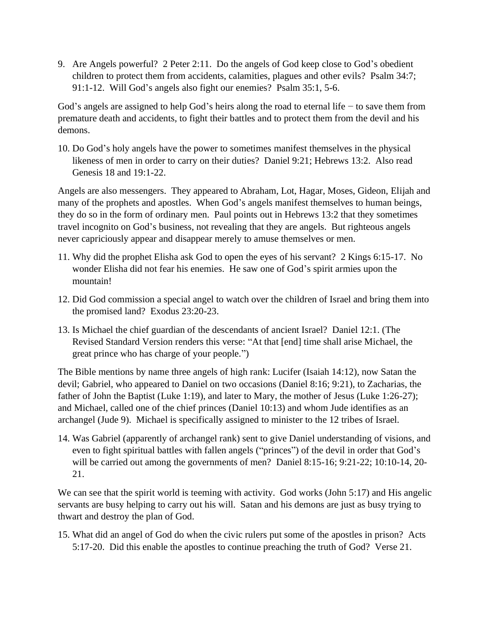9. Are Angels powerful? 2 Peter 2:11. Do the angels of God keep close to God's obedient children to protect them from accidents, calamities, plagues and other evils? Psalm 34:7; 91:1-12. Will God's angels also fight our enemies? Psalm 35:1, 5-6.

God's angels are assigned to help God's heirs along the road to eternal life − to save them from premature death and accidents, to fight their battles and to protect them from the devil and his demons.

10. Do God's holy angels have the power to sometimes manifest themselves in the physical likeness of men in order to carry on their duties? Daniel 9:21; Hebrews 13:2. Also read Genesis 18 and 19:1-22.

Angels are also messengers. They appeared to Abraham, Lot, Hagar, Moses, Gideon, Elijah and many of the prophets and apostles. When God's angels manifest themselves to human beings, they do so in the form of ordinary men. Paul points out in Hebrews 13:2 that they sometimes travel incognito on God's business, not revealing that they are angels. But righteous angels never capriciously appear and disappear merely to amuse themselves or men.

- 11. Why did the prophet Elisha ask God to open the eyes of his servant? 2 Kings 6:15-17. No wonder Elisha did not fear his enemies. He saw one of God's spirit armies upon the mountain!
- 12. Did God commission a special angel to watch over the children of Israel and bring them into the promised land? Exodus 23:20-23.
- 13. Is Michael the chief guardian of the descendants of ancient Israel? Daniel 12:1. (The Revised Standard Version renders this verse: "At that [end] time shall arise Michael, the great prince who has charge of your people.")

The Bible mentions by name three angels of high rank: Lucifer (Isaiah 14:12), now Satan the devil; Gabriel, who appeared to Daniel on two occasions (Daniel 8:16; 9:21), to Zacharias, the father of John the Baptist (Luke 1:19), and later to Mary, the mother of Jesus (Luke 1:26-27); and Michael, called one of the chief princes (Daniel 10:13) and whom Jude identifies as an archangel (Jude 9). Michael is specifically assigned to minister to the 12 tribes of Israel.

14. Was Gabriel (apparently of archangel rank) sent to give Daniel understanding of visions, and even to fight spiritual battles with fallen angels ("princes") of the devil in order that God's will be carried out among the governments of men? Daniel 8:15-16; 9:21-22; 10:10-14, 20- 21.

We can see that the spirit world is teeming with activity. God works (John 5:17) and His angelic servants are busy helping to carry out his will. Satan and his demons are just as busy trying to thwart and destroy the plan of God.

15. What did an angel of God do when the civic rulers put some of the apostles in prison? Acts 5:17-20. Did this enable the apostles to continue preaching the truth of God? Verse 21.